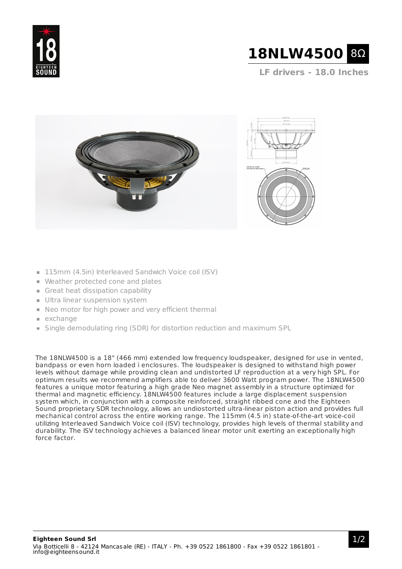



**LF drivers - 18.0 Inches**



- 115mm (4.5in) Interleaved Sandwich Voice coil (ISV)
- Weather protected cone and plates
- Great heat dissipation capability
- **Ultra linear suspension system**
- Neo motor for high power and very efficient thermal
- $exchange$
- Single demodulating ring (SDR) for distortion reduction and maximum SPL

The 18NLW4500 is a 18" (466 mm) extended low frequency loudspeaker, designed for use in vented, bandpass or even horn loaded ì enclosures. The loudspeaker is designed to withstand high power levels without damage while providing clean and undistorted LF reproduction at a very high SPL. For optimum results we recommend amplifiers able to deliver 3600 Watt program power. The 18NLW4500 features a unique motor featuring a high grade Neo magnet assembly in a structure optimized for thermal and magnetic efficiency. 18NLW4500 features include a large displacement suspension system which, in conjunction with a composite reinforced, straight ribbed cone and the Eighteen Sound proprietary SDR technology, allows an undiostorted ultra-linear piston action and provides full mechanical control across the entire working range. The 115mm (4.5 in) state-of-the-art voice-coil utilizing Interleaved Sandwich Voice coil (ISV) technology, provides high levels of thermal stability and durability. The ISV technology achieves a balanced linear motor unit exerting an exceptionally high force factor.